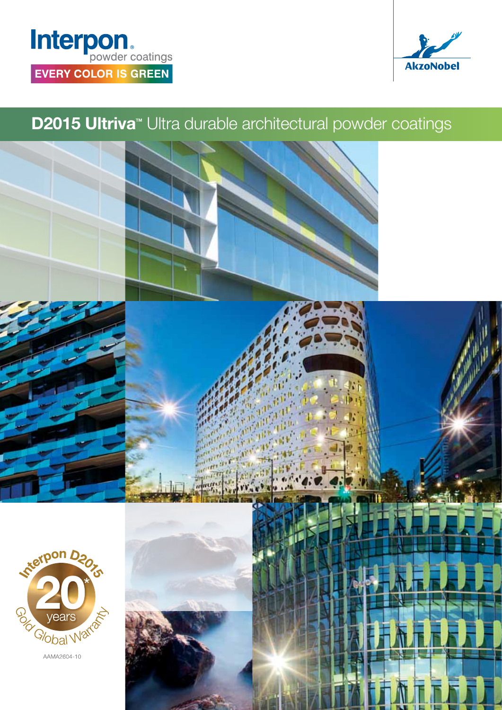## Interpon. **EVERY COLOR IS GREEN**



## **D2015 Ultriva**<sup>™</sup> Ultra durable architectural powder coatings



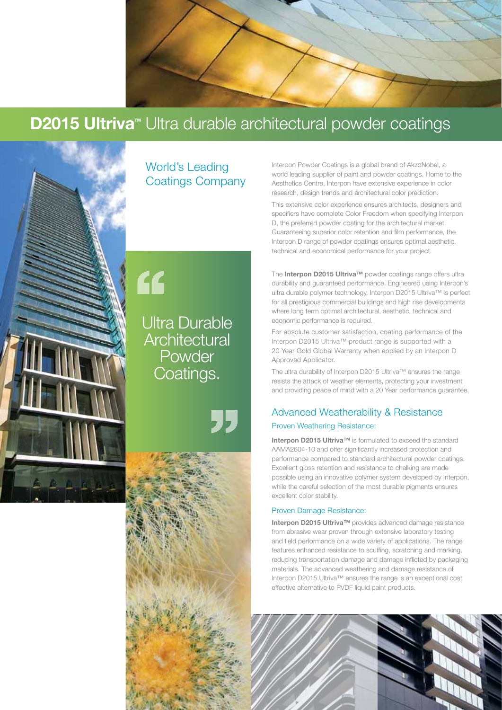

### **D2015 Ultriva**<sup>™</sup> Ultra durable architectural powder coatings



World's Leading Coatings Company Interpon Powder Coatings is a global brand of AkzoNobel, a world leading supplier of paint and powder coatings. Home to the Aesthetics Centre, Interpon have extensive experience in color research, design trends and architectural color prediction.

This extensive color experience ensures architects, designers and specifiers have complete Color Freedom when specifying Interpon D, the preferred powder coating for the architectural market. Guaranteeing superior color retention and film performance, the Interpon D range of powder coatings ensures optimal aesthetic, technical and economical performance for your project.

The Interpon D2015 Ultriva™ powder coatings range offers ultra durability and guaranteed performance. Engineered using Interpon's ultra durable polymer technology, Interpon D2015 Ultriva™ is perfect for all prestigious commercial buildings and high rise developments where long term optimal architectural, aesthetic, technical and economic performance is required.

For absolute customer satisfaction, coating performance of the Interpon D2015 Ultriva™ product range is supported with a 20 Year Gold Global Warranty when applied by an Interpon D Approved Applicator.

The ultra durability of Interpon D2015 Ultriva™ ensures the range resists the attack of weather elements, protecting your investment and providing peace of mind with a 20 Year performance guarantee.

#### Advanced Weatherability & Resistance Proven Weathering Resistance:

Interpon D2015 Ultriva™ is formulated to exceed the standard AAMA2604-10 and offer significantly increased protection and performance compared to standard architectural powder coatings. Excellent gloss retention and resistance to chalking are made possible using an innovative polymer system developed by Interpon, while the careful selection of the most durable pigments ensures excellent color stability.

#### Proven Damage Resistance:

Interpon D2015 Ultriva™ provides advanced damage resistance from abrasive wear proven through extensive laboratory testing and field performance on a wide variety of applications. The range features enhanced resistance to scuffing, scratching and marking, reducing transportation damage and damage inflicted by packaging materials. The advanced weathering and damage resistance of Interpon D2015 Ultriva™ ensures the range is an exceptional cost effective alternative to PVDF liquid paint products.



# "

Ultra Durable **Architectural** Powder Coatings.

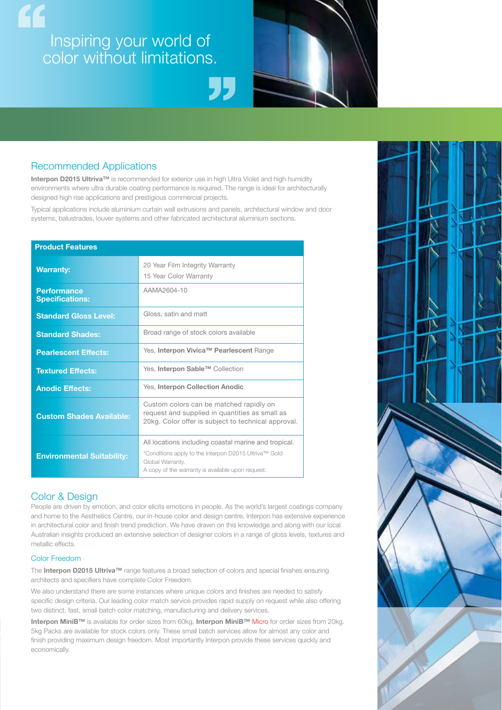## $\epsilon$ Inspiring your world of color without limitations.



#### Recommended Applications

Interpon D2015 Ultriva™ is recommended for exterior use in high Ultra Violet and high humidity environments where ultra durable coating performance is required. The range is ideal for architecturally designed high rise applications and prestigious commercial projects.

Typical applications include aluminium curtain wall extrusions and panels, architectural window and door systems, balustrades, louver systems and other fabricated architectural aluminium sections.

#### Product Features

| <b>Warranty:</b>                             | 20 Year Film Integrity Warranty<br>15 Year Color Warranty                                                                                                                              |
|----------------------------------------------|----------------------------------------------------------------------------------------------------------------------------------------------------------------------------------------|
| <b>Performance</b><br><b>Specifications:</b> | AAMA2604-10                                                                                                                                                                            |
| <b>Standard Gloss Level:</b>                 | Gloss, satin and matt                                                                                                                                                                  |
| <b>Standard Shades:</b>                      | Broad range of stock colors available                                                                                                                                                  |
| <b>Pearlescent Effects:</b>                  | Yes, Interpon Vivica™ Pearlescent Range                                                                                                                                                |
| <b>Textured Effects:</b>                     | Yes, Interpon Sable™ Collection                                                                                                                                                        |
| <b>Anodic Effects:</b>                       | Yes, Interpon Collection Anodic                                                                                                                                                        |
| <b>Custom Shades Available:</b>              | Custom colors can be matched rapidly on<br>request and supplied in quantities as small as<br>20kg. Color offer is subject to technical approval.                                       |
| <b>Environmental Suitability:</b>            | All locations including coastal marine and tropical.<br>*Conditions apply to the Interpon D2015 Ultriva™ Gold<br>Global Warranty.<br>A copy of the warranty is available upon request. |

#### Color & Design

People are driven by emotion, and color elicits emotions in people. As the world's largest coatings company and home to the Aesthetics Centre, our in-house color and design centre, Interpon has extensive experience in architectural color and finish trend prediction. We have drawn on this knowledge and along with our local Australian insights produced an extensive selection of designer colors in a range of gloss levels, textures and metallic effects.

#### Color Freedom

The Interpon D2015 Ultriva™ range features a broad selection of colors and special finishes ensuring architects and specifiers have complete Color Freedom.

We also understand there are some instances where unique colors and finishes are needed to satisfy specific design criteria. Our leading color match service provides rapid supply on request while also offering two distinct, fast, small batch color matching, manufacturing and delivery services.

Interpon MiniB™ is available for order sizes from 60kg, Interpon MiniB™ Micro for order sizes from 20kg. 5kg Packs are available for stock colors only. These small batch services allow for almost any color and finish providing maximum design freedom. Most importantly Interpon provide these services quickly and economically.